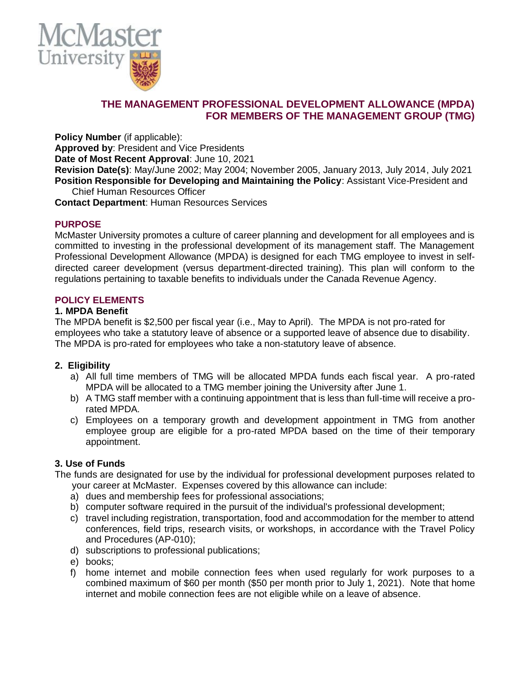

# **THE MANAGEMENT PROFESSIONAL DEVELOPMENT ALLOWANCE (MPDA) FOR MEMBERS OF THE MANAGEMENT GROUP (TMG)**

**Policy Number** (if applicable):

**Approved by**: President and Vice Presidents

**Date of Most Recent Approval**: June 10, 2021

**Revision Date(s)**: May/June 2002; May 2004; November 2005, January 2013, July 2014, July 2021 **Position Responsible for Developing and Maintaining the Policy**: Assistant Vice-President and Chief Human Resources Officer

**Contact Department**: Human Resources Services

## **PURPOSE**

McMaster University promotes a culture of career planning and development for all employees and is committed to investing in the professional development of its management staff. The Management Professional Development Allowance (MPDA) is designed for each TMG employee to invest in selfdirected career development (versus department-directed training). This plan will conform to the regulations pertaining to taxable benefits to individuals under the Canada Revenue Agency.

## **POLICY ELEMENTS**

#### **1. MPDA Benefit**

The MPDA benefit is \$2,500 per fiscal year (i.e., May to April). The MPDA is not pro-rated for employees who take a statutory leave of absence or a supported leave of absence due to disability. The MPDA is pro-rated for employees who take a non-statutory leave of absence.

## **2. Eligibility**

- a) All full time members of TMG will be allocated MPDA funds each fiscal year. A pro-rated MPDA will be allocated to a TMG member joining the University after June 1.
- b) A TMG staff member with a continuing appointment that is less than full-time will receive a prorated MPDA.
- c) Employees on a temporary growth and development appointment in TMG from another employee group are eligible for a pro-rated MPDA based on the time of their temporary appointment.

## **3. Use of Funds**

The funds are designated for use by the individual for professional development purposes related to your career at McMaster. Expenses covered by this allowance can include:

- a) dues and membership fees for professional associations;
- b) computer software required in the pursuit of the individual's professional development;
- c) travel including registration, transportation, food and accommodation for the member to attend conferences, field trips, research visits, or workshops, in accordance with the Travel Policy and Procedures (AP-010);
- d) subscriptions to professional publications;
- e) books;
- f) home internet and mobile connection fees when used regularly for work purposes to a combined maximum of \$60 per month (\$50 per month prior to July 1, 2021). Note that home internet and mobile connection fees are not eligible while on a leave of absence.